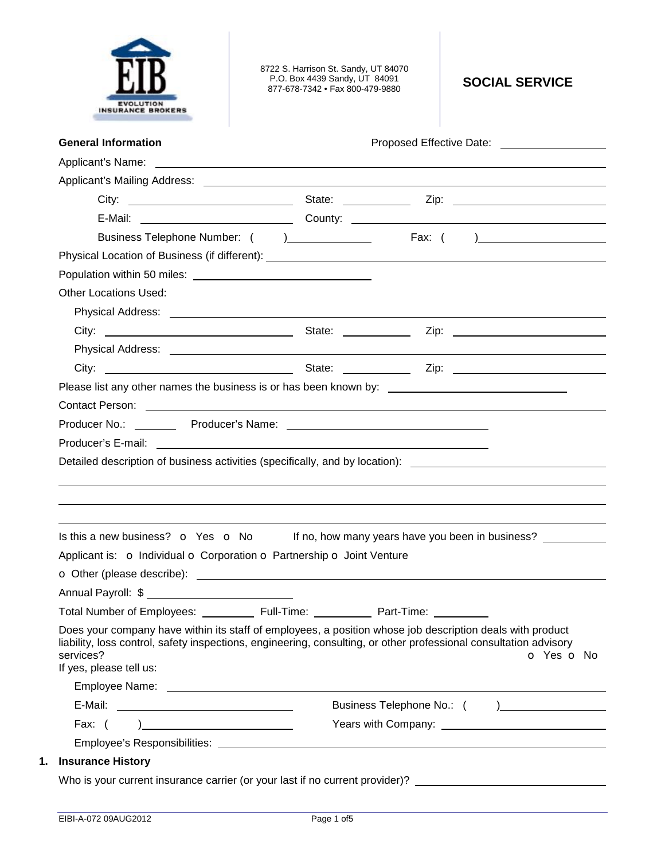

8722 S. Harrison St. Sandy, UT 84070 P.O. Box 4439 Sandy, UT 84091 877-678-7342 • Fax 800-479-9880 **SOCIAL SERVICE** 

| <b>General Information</b>                                                                                                                        | Proposed Effective Date: National Assembly Proposed Effective Date:                                                                                                                                                                  |
|---------------------------------------------------------------------------------------------------------------------------------------------------|--------------------------------------------------------------------------------------------------------------------------------------------------------------------------------------------------------------------------------------|
|                                                                                                                                                   |                                                                                                                                                                                                                                      |
|                                                                                                                                                   |                                                                                                                                                                                                                                      |
|                                                                                                                                                   |                                                                                                                                                                                                                                      |
|                                                                                                                                                   |                                                                                                                                                                                                                                      |
|                                                                                                                                                   |                                                                                                                                                                                                                                      |
|                                                                                                                                                   |                                                                                                                                                                                                                                      |
|                                                                                                                                                   |                                                                                                                                                                                                                                      |
| <b>Other Locations Used:</b>                                                                                                                      |                                                                                                                                                                                                                                      |
|                                                                                                                                                   |                                                                                                                                                                                                                                      |
|                                                                                                                                                   |                                                                                                                                                                                                                                      |
|                                                                                                                                                   |                                                                                                                                                                                                                                      |
|                                                                                                                                                   |                                                                                                                                                                                                                                      |
| Please list any other names the business is or has been known by: __________________________________                                              |                                                                                                                                                                                                                                      |
|                                                                                                                                                   | Contact Person: 2008 Contact Person:                                                                                                                                                                                                 |
|                                                                                                                                                   |                                                                                                                                                                                                                                      |
|                                                                                                                                                   |                                                                                                                                                                                                                                      |
|                                                                                                                                                   | Detailed description of business activities (specifically, and by location): ________________________________                                                                                                                        |
|                                                                                                                                                   |                                                                                                                                                                                                                                      |
|                                                                                                                                                   | Is this a new business? $\bullet$ Yes $\bullet$ No If no, how many years have you been in business?                                                                                                                                  |
|                                                                                                                                                   |                                                                                                                                                                                                                                      |
| Applicant is: o Individual o Corporation o Partnership o Joint Venture                                                                            | O Other (please describe): <u>example and contract and contract and contract and contract and contract and contract and contract and contract and contract and contract and contract and contract and contract and contract and </u> |
|                                                                                                                                                   |                                                                                                                                                                                                                                      |
| Total Number of Employees: ____________ Full-Time: ___________                                                                                    | Part-Time:                                                                                                                                                                                                                           |
| Does your company have within its staff of employees, a position whose job description deals with product<br>services?<br>If yes, please tell us: | liability, loss control, safety inspections, engineering, consulting, or other professional consultation advisory<br>O Yes O No                                                                                                      |
|                                                                                                                                                   |                                                                                                                                                                                                                                      |
|                                                                                                                                                   |                                                                                                                                                                                                                                      |
| Fax: $( )$                                                                                                                                        |                                                                                                                                                                                                                                      |
|                                                                                                                                                   |                                                                                                                                                                                                                                      |
| <b>Insurance History</b>                                                                                                                          | Who is your current insurance carrier (or your last if no current provider)? _________________________________                                                                                                                       |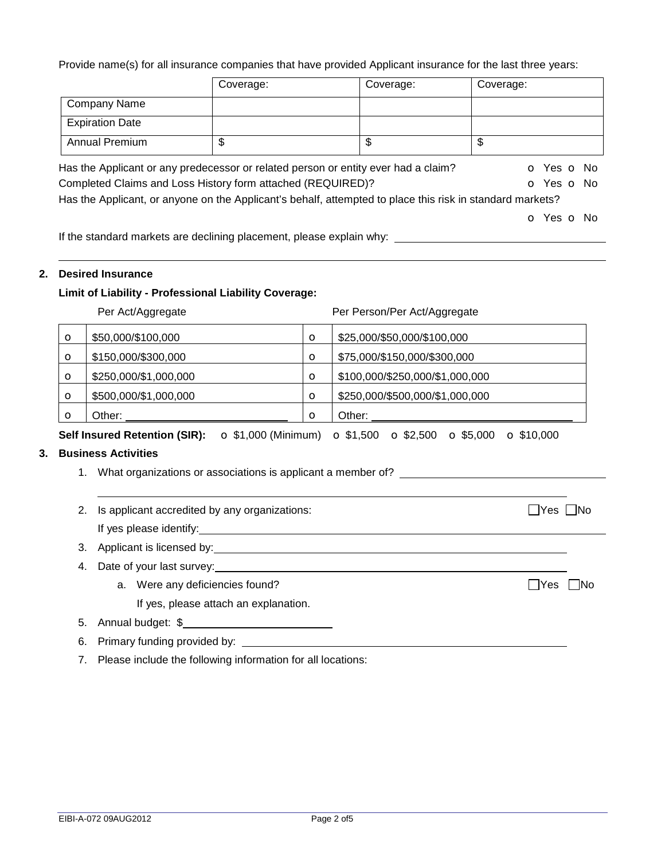Provide name(s) for all insurance companies that have provided Applicant insurance for the last three years:

|                        | Coverage:                                                                                                 | Coverage: | Coverage:                |
|------------------------|-----------------------------------------------------------------------------------------------------------|-----------|--------------------------|
| <b>Company Name</b>    |                                                                                                           |           |                          |
| <b>Expiration Date</b> |                                                                                                           |           |                          |
| <b>Annual Premium</b>  | \$                                                                                                        | \$        | \$                       |
|                        | Has the Applicant or any predecessor or related person or entity ever had a claim?                        |           | <b>o</b> Yes <b>o</b> No |
|                        | Completed Claims and Loss History form attached (REQUIRED)?                                               |           | O Yes O No               |
|                        | Has the Applicant, or anyone on the Applicant's behalf, attempted to place this risk in standard markets? |           |                          |
|                        |                                                                                                           |           | O Yes O No               |
|                        | المناوية المراجعا وينادره والمسترقص ومستوات والمستحدث والمتحارث والمستحدث المستحدث والمتحال والمنافي      |           |                          |

If the standard markets are declining placement, please explain why:

## **2. Desired Insurance**

### **Limit of Liability - Professional Liability Coverage:**

|         | Per Act/Aggregate                                                   |          | Per Person/Per Act/Aggregate                                                 |
|---------|---------------------------------------------------------------------|----------|------------------------------------------------------------------------------|
| O       | \$50,000/\$100,000                                                  | $\circ$  | \$25,000/\$50,000/\$100,000                                                  |
| O       | \$150,000/\$300,000                                                 | $\circ$  | \$75,000/\$150,000/\$300,000                                                 |
| O       | \$250,000/\$1,000,000                                               | $\circ$  | \$100,000/\$250,000/\$1,000,000                                              |
| O       | \$500,000/\$1,000,000                                               | $\circ$  | \$250,000/\$500,000/\$1,000,000                                              |
| $\circ$ | Other:                                                              | $\Omega$ | Other:                                                                       |
|         | <b>Self Insured Retention (SIR):</b><br>$\bullet$ \$1,000 (Minimum) |          | $\Omega$ \$1,500<br>$\Omega$ \$2,500<br>$\circ$ \$5,000<br>$\Omega$ \$10,000 |

# **3. Business Activities**

- 1. What organizations or associations is applicant a member of?
- 2. Is applicant accredited by any organizations:  $\Box$  Yes  $\Box$  Yes  $\Box$  No If yes please identify:
	-
- 3. Applicant is licensed by:
- 4. Date of your last survey:
	- a. Were any deficiencies found?  $\Box$  Yes  $\Box$  No If yes, please attach an explanation.
- 5. Annual budget: \$
- 6. Primary funding provided by:
- 7. Please include the following information for all locations: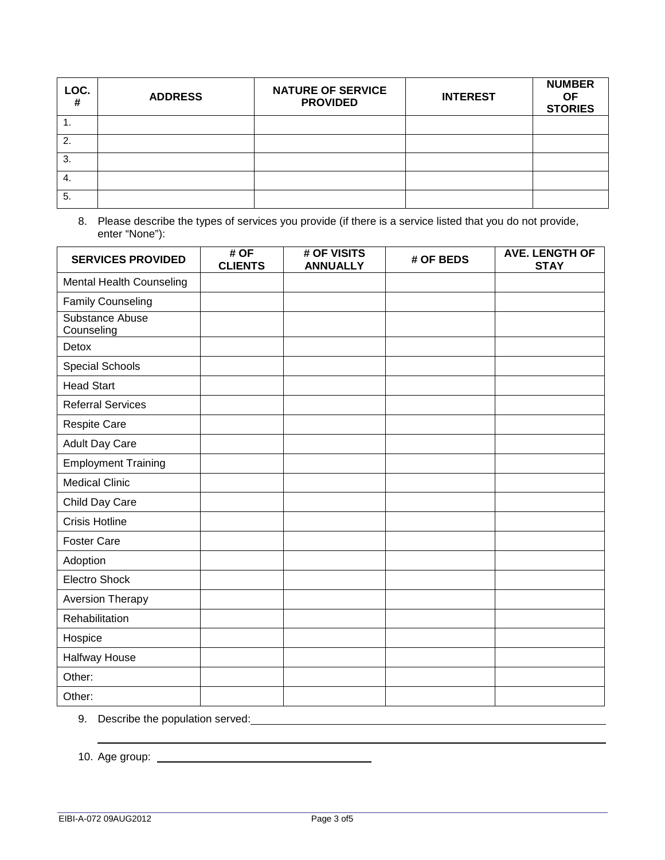| LOC.<br># | <b>ADDRESS</b> | <b>NATURE OF SERVICE</b><br><b>PROVIDED</b> | <b>INTEREST</b> | <b>NUMBER</b><br><b>OF</b><br><b>STORIES</b> |
|-----------|----------------|---------------------------------------------|-----------------|----------------------------------------------|
|           |                |                                             |                 |                                              |
| 2.        |                |                                             |                 |                                              |
| 3.        |                |                                             |                 |                                              |
| -4.       |                |                                             |                 |                                              |
| 5.        |                |                                             |                 |                                              |

8. Please describe the types of services you provide (if there is a service listed that you do not provide, enter "None"):

| <b>SERVICES PROVIDED</b>        | # OF<br><b>CLIENTS</b> | # OF VISITS<br><b>ANNUALLY</b> | # OF BEDS | <b>AVE. LENGTH OF</b><br><b>STAY</b> |
|---------------------------------|------------------------|--------------------------------|-----------|--------------------------------------|
| <b>Mental Health Counseling</b> |                        |                                |           |                                      |
| <b>Family Counseling</b>        |                        |                                |           |                                      |
| Substance Abuse<br>Counseling   |                        |                                |           |                                      |
| Detox                           |                        |                                |           |                                      |
| Special Schools                 |                        |                                |           |                                      |
| <b>Head Start</b>               |                        |                                |           |                                      |
| <b>Referral Services</b>        |                        |                                |           |                                      |
| Respite Care                    |                        |                                |           |                                      |
| Adult Day Care                  |                        |                                |           |                                      |
| <b>Employment Training</b>      |                        |                                |           |                                      |
| <b>Medical Clinic</b>           |                        |                                |           |                                      |
| Child Day Care                  |                        |                                |           |                                      |
| <b>Crisis Hotline</b>           |                        |                                |           |                                      |
| <b>Foster Care</b>              |                        |                                |           |                                      |
| Adoption                        |                        |                                |           |                                      |
| <b>Electro Shock</b>            |                        |                                |           |                                      |
| <b>Aversion Therapy</b>         |                        |                                |           |                                      |
| Rehabilitation                  |                        |                                |           |                                      |
| Hospice                         |                        |                                |           |                                      |
| Halfway House                   |                        |                                |           |                                      |
| Other:                          |                        |                                |           |                                      |
| Other:                          |                        |                                |           |                                      |

9. Describe the population served:

10. Age group:

<u> 1980 - Johann Barn, mars ann an t-Amhain Aonaich an t-Aonaich an t-Aonaich an t-Aonaich an t-Aonaich an t-Aon</u>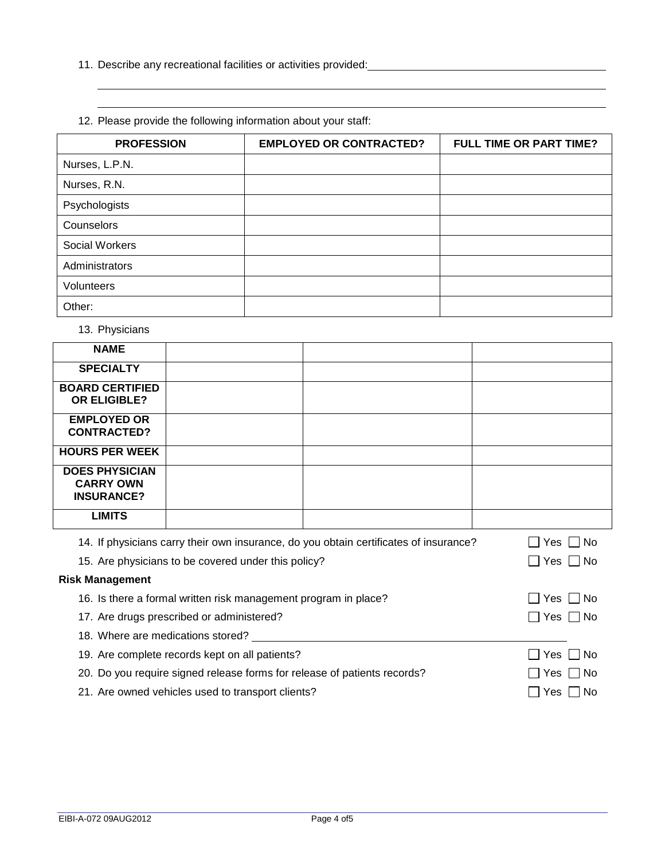- 11. Describe any recreational facilities or activities provided:
- **PROFESSION EMPLOYED OR CONTRACTED? FULL TIME OR PART TIME?**  Nurses, L.P.N. Nurses, R.N. Psychologists **Counselors** Social Workers Administrators Volunteers Other:
- 12. Please provide the following information about your staff:

13. Physicians

 

| <b>NAME</b>                                                                           |  |  |               |
|---------------------------------------------------------------------------------------|--|--|---------------|
| <b>SPECIALTY</b>                                                                      |  |  |               |
| <b>BOARD CERTIFIED</b>                                                                |  |  |               |
| <b>OR ELIGIBLE?</b>                                                                   |  |  |               |
| <b>EMPLOYED OR</b>                                                                    |  |  |               |
| <b>CONTRACTED?</b>                                                                    |  |  |               |
| <b>HOURS PER WEEK</b>                                                                 |  |  |               |
| <b>DOES PHYSICIAN</b>                                                                 |  |  |               |
| <b>CARRY OWN</b>                                                                      |  |  |               |
| <b>INSURANCE?</b>                                                                     |  |  |               |
| <b>LIMITS</b>                                                                         |  |  |               |
| 14. If physicians carry their own insurance, do you obtain certificates of insurance? |  |  | Yes $\Box$ No |
| 15. Are physicians to be covered under this policy?                                   |  |  | Yes I INo     |
| <b>Risk Management</b>                                                                |  |  |               |

| 16. Is there a formal written risk management program in place?          | $\Box$ Yes $\Box$ No |
|--------------------------------------------------------------------------|----------------------|
| 17. Are drugs prescribed or administered?                                | $\Box$ Yes $\Box$ No |
| 18. Where are medications stored?                                        |                      |
| 19. Are complete records kept on all patients?                           | $\Box$ Yes $\Box$ No |
| 20. Do you require signed release forms for release of patients records? | $\Box$ Yes $\Box$ No |
| 21. Are owned vehicles used to transport clients?                        | ∪ Yes □ No           |